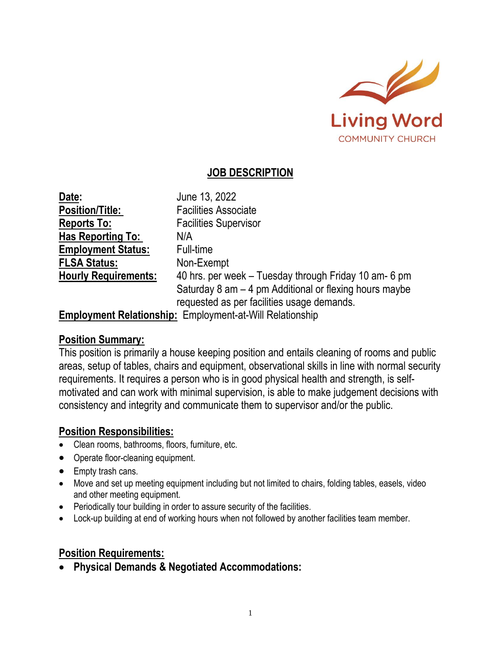

# **JOB DESCRIPTION**

| Date:                       | June 13, 2022                                                                                        |
|-----------------------------|------------------------------------------------------------------------------------------------------|
| <b>Position/Title:</b>      | <b>Facilities Associate</b>                                                                          |
| <b>Reports To:</b>          | <b>Facilities Supervisor</b>                                                                         |
| <b>Has Reporting To:</b>    | N/A                                                                                                  |
| <b>Employment Status:</b>   | Full-time                                                                                            |
| <b>FLSA Status:</b>         | Non-Exempt                                                                                           |
| <b>Hourly Requirements:</b> | 40 hrs. per week – Tuesday through Friday 10 am- 6 pm                                                |
|                             | Saturday 8 am - 4 pm Additional or flexing hours maybe<br>requested as per facilities usage demands. |

**Employment Relationship:** Employment-at-Will Relationship

### **Position Summary:**

This position is primarily a house keeping position and entails cleaning of rooms and public areas, setup of tables, chairs and equipment, observational skills in line with normal security requirements. It requires a person who is in good physical health and strength, is selfmotivated and can work with minimal supervision, is able to make judgement decisions with consistency and integrity and communicate them to supervisor and/or the public.

## **Position Responsibilities:**

- Clean rooms, bathrooms, floors, furniture, etc.
- Operate floor-cleaning equipment.
- Empty trash cans.
- Move and set up meeting equipment including but not limited to chairs, folding tables, easels, video and other meeting equipment.
- Periodically tour building in order to assure security of the facilities.
- Lock-up building at end of working hours when not followed by another facilities team member.

### **Position Requirements:**

• **Physical Demands & Negotiated Accommodations:**